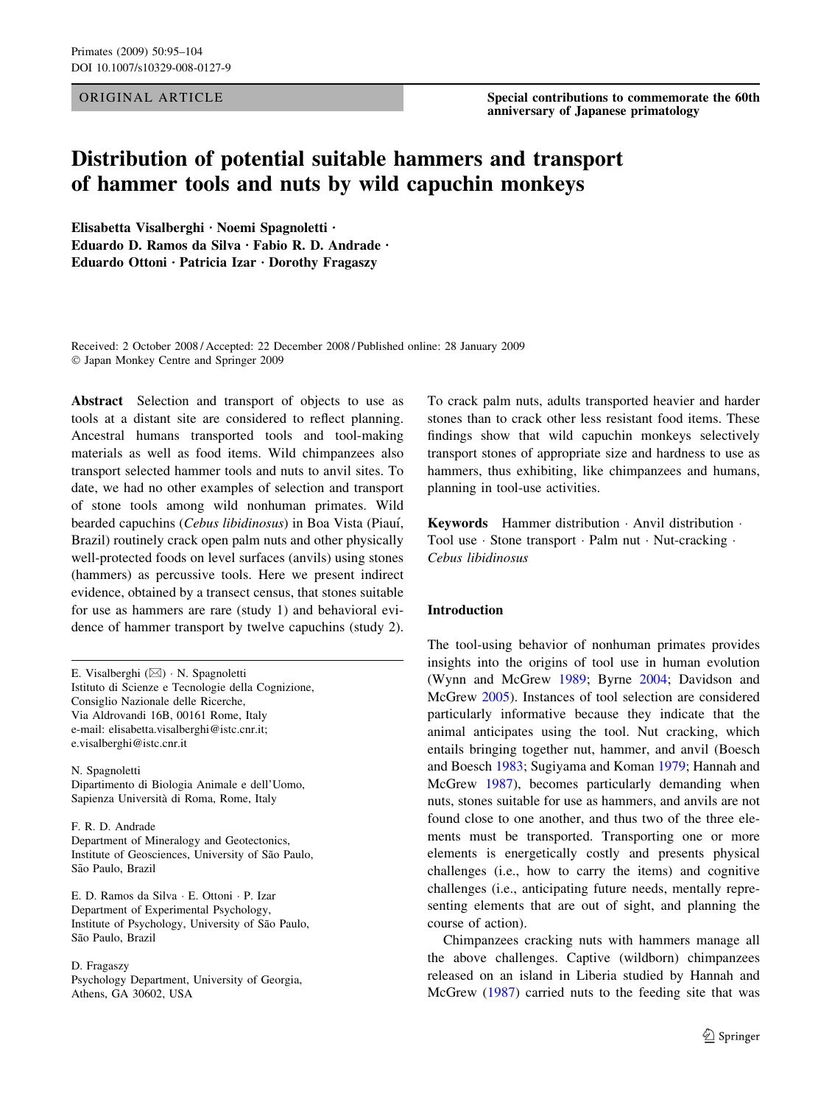<span id="page-0-0"></span>ORIGINAL ARTICLE Special contributions to commemorate the 60th anniversary of Japanese primatology

# Distribution of potential suitable hammers and transport of hammer tools and nuts by wild capuchin monkeys

Elisabetta Visalberghi  $\cdot$  Noemi Spagnoletti  $\cdot$ Eduardo D. Ramos da Silva  $\cdot$  Fabio R. D. Andrade  $\cdot$ Eduardo Ottoni  $\cdot$  Patricia Izar  $\cdot$  Dorothy Fragaszy

Received: 2 October 2008 / Accepted: 22 December 2008 / Published online: 28 January 2009 Japan Monkey Centre and Springer 2009

Abstract Selection and transport of objects to use as tools at a distant site are considered to reflect planning. Ancestral humans transported tools and tool-making materials as well as food items. Wild chimpanzees also transport selected hammer tools and nuts to anvil sites. To date, we had no other examples of selection and transport of stone tools among wild nonhuman primates. Wild bearded capuchins (Cebus libidinosus) in Boa Vista (Piauí, Brazil) routinely crack open palm nuts and other physically well-protected foods on level surfaces (anvils) using stones (hammers) as percussive tools. Here we present indirect evidence, obtained by a transect census, that stones suitable for use as hammers are rare (study 1) and behavioral evidence of hammer transport by twelve capuchins (study 2).

E. Visalberghi  $(\boxtimes) \cdot N$ . Spagnoletti Istituto di Scienze e Tecnologie della Cognizione, Consiglio Nazionale delle Ricerche, Via Aldrovandi 16B, 00161 Rome, Italy e-mail: elisabetta.visalberghi@istc.cnr.it; e.visalberghi@istc.cnr.it

N. Spagnoletti Dipartimento di Biologia Animale e dell'Uomo, Sapienza Università di Roma, Rome, Italy

F. R. D. Andrade Department of Mineralogy and Geotectonics, Institute of Geosciences, University of São Paulo, São Paulo, Brazil

E. D. Ramos da Silva · E. Ottoni · P. Izar Department of Experimental Psychology, Institute of Psychology, University of São Paulo, São Paulo, Brazil

D. Fragaszy

Psychology Department, University of Georgia, Athens, GA 30602, USA

To crack palm nuts, adults transported heavier and harder stones than to crack other less resistant food items. These findings show that wild capuchin monkeys selectively transport stones of appropriate size and hardness to use as hammers, thus exhibiting, like chimpanzees and humans, planning in tool-use activities.

Keywords Hammer distribution · Anvil distribution · Tool use  $\cdot$  Stone transport  $\cdot$  Palm nut  $\cdot$  Nut-cracking  $\cdot$ Cebus libidinosus

## Introduction

The tool-using behavior of nonhuman primates provides insights into the origins of tool use in human evolution (Wynn and McGrew [1989;](#page-9-0) Byrne [2004;](#page-9-0) Davidson and McGrew [2005](#page-9-0)). Instances of tool selection are considered particularly informative because they indicate that the animal anticipates using the tool. Nut cracking, which entails bringing together nut, hammer, and anvil (Boesch and Boesch [1983;](#page-8-0) Sugiyama and Koman [1979](#page-9-0); Hannah and McGrew [1987](#page-9-0)), becomes particularly demanding when nuts, stones suitable for use as hammers, and anvils are not found close to one another, and thus two of the three elements must be transported. Transporting one or more elements is energetically costly and presents physical challenges (i.e., how to carry the items) and cognitive challenges (i.e., anticipating future needs, mentally representing elements that are out of sight, and planning the course of action).

Chimpanzees cracking nuts with hammers manage all the above challenges. Captive (wildborn) chimpanzees released on an island in Liberia studied by Hannah and McGrew [\(1987](#page-9-0)) carried nuts to the feeding site that was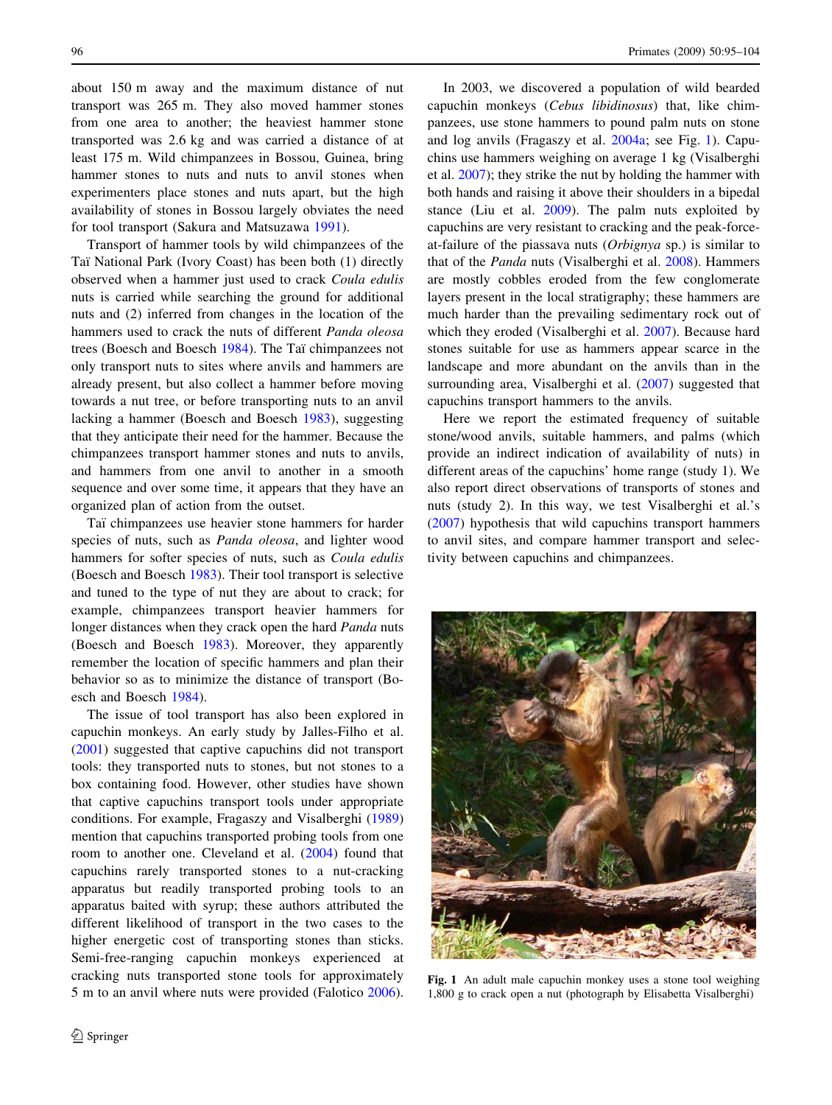about 150 m away and the maximum distance of nut transport was 265 m. They also moved hammer stones from one area to another; the heaviest hammer stone transported was 2.6 kg and was carried a distance of at least 175 m. Wild chimpanzees in Bossou, Guinea, bring hammer stones to nuts and nuts to anvil stones when experimenters place stones and nuts apart, but the high availability of stones in Bossou largely obviates the need for tool transport (Sakura and Matsuzawa [1991\)](#page-9-0).

Transport of hammer tools by wild chimpanzees of the Taı¨ National Park (Ivory Coast) has been both (1) directly observed when a hammer just used to crack Coula edulis nuts is carried while searching the ground for additional nuts and (2) inferred from changes in the location of the hammers used to crack the nuts of different *Panda oleosa* trees (Boesch and Boesch [1984](#page-8-0)). The Taï chimpanzees not only transport nuts to sites where anvils and hammers are already present, but also collect a hammer before moving towards a nut tree, or before transporting nuts to an anvil lacking a hammer (Boesch and Boesch [1983\)](#page-8-0), suggesting that they anticipate their need for the hammer. Because the chimpanzees transport hammer stones and nuts to anvils, and hammers from one anvil to another in a smooth sequence and over some time, it appears that they have an organized plan of action from the outset.

Taı¨ chimpanzees use heavier stone hammers for harder species of nuts, such as *Panda oleosa*, and lighter wood hammers for softer species of nuts, such as *Coula edulis* (Boesch and Boesch [1983\)](#page-8-0). Their tool transport is selective and tuned to the type of nut they are about to crack; for example, chimpanzees transport heavier hammers for longer distances when they crack open the hard Panda nuts (Boesch and Boesch [1983\)](#page-8-0). Moreover, they apparently remember the location of specific hammers and plan their behavior so as to minimize the distance of transport (Boesch and Boesch [1984\)](#page-8-0).

The issue of tool transport has also been explored in capuchin monkeys. An early study by Jalles-Filho et al. [\(2001](#page-9-0)) suggested that captive capuchins did not transport tools: they transported nuts to stones, but not stones to a box containing food. However, other studies have shown that captive capuchins transport tools under appropriate conditions. For example, Fragaszy and Visalberghi ([1989\)](#page-9-0) mention that capuchins transported probing tools from one room to another one. Cleveland et al. ([2004\)](#page-9-0) found that capuchins rarely transported stones to a nut-cracking apparatus but readily transported probing tools to an apparatus baited with syrup; these authors attributed the different likelihood of transport in the two cases to the higher energetic cost of transporting stones than sticks. Semi-free-ranging capuchin monkeys experienced at cracking nuts transported stone tools for approximately 5 m to an anvil where nuts were provided (Falotico [2006](#page-9-0)).

In 2003, we discovered a population of wild bearded capuchin monkeys (Cebus libidinosus) that, like chimpanzees, use stone hammers to pound palm nuts on stone and log anvils (Fragaszy et al. [2004a](#page-9-0); see Fig. 1). Capuchins use hammers weighing on average 1 kg (Visalberghi et al. [2007](#page-9-0)); they strike the nut by holding the hammer with both hands and raising it above their shoulders in a bipedal stance (Liu et al. [2009](#page-9-0)). The palm nuts exploited by capuchins are very resistant to cracking and the peak-forceat-failure of the piassava nuts (Orbignya sp.) is similar to that of the Panda nuts (Visalberghi et al. [2008](#page-9-0)). Hammers are mostly cobbles eroded from the few conglomerate layers present in the local stratigraphy; these hammers are much harder than the prevailing sedimentary rock out of which they eroded (Visalberghi et al. [2007\)](#page-9-0). Because hard stones suitable for use as hammers appear scarce in the landscape and more abundant on the anvils than in the surrounding area, Visalberghi et al. [\(2007](#page-9-0)) suggested that capuchins transport hammers to the anvils.

Here we report the estimated frequency of suitable stone/wood anvils, suitable hammers, and palms (which provide an indirect indication of availability of nuts) in different areas of the capuchins' home range (study 1). We also report direct observations of transports of stones and nuts (study 2). In this way, we test Visalberghi et al.'s [\(2007](#page-9-0)) hypothesis that wild capuchins transport hammers to anvil sites, and compare hammer transport and selectivity between capuchins and chimpanzees.



Fig. 1 An adult male capuchin monkey uses a stone tool weighing 1,800 g to crack open a nut (photograph by Elisabetta Visalberghi)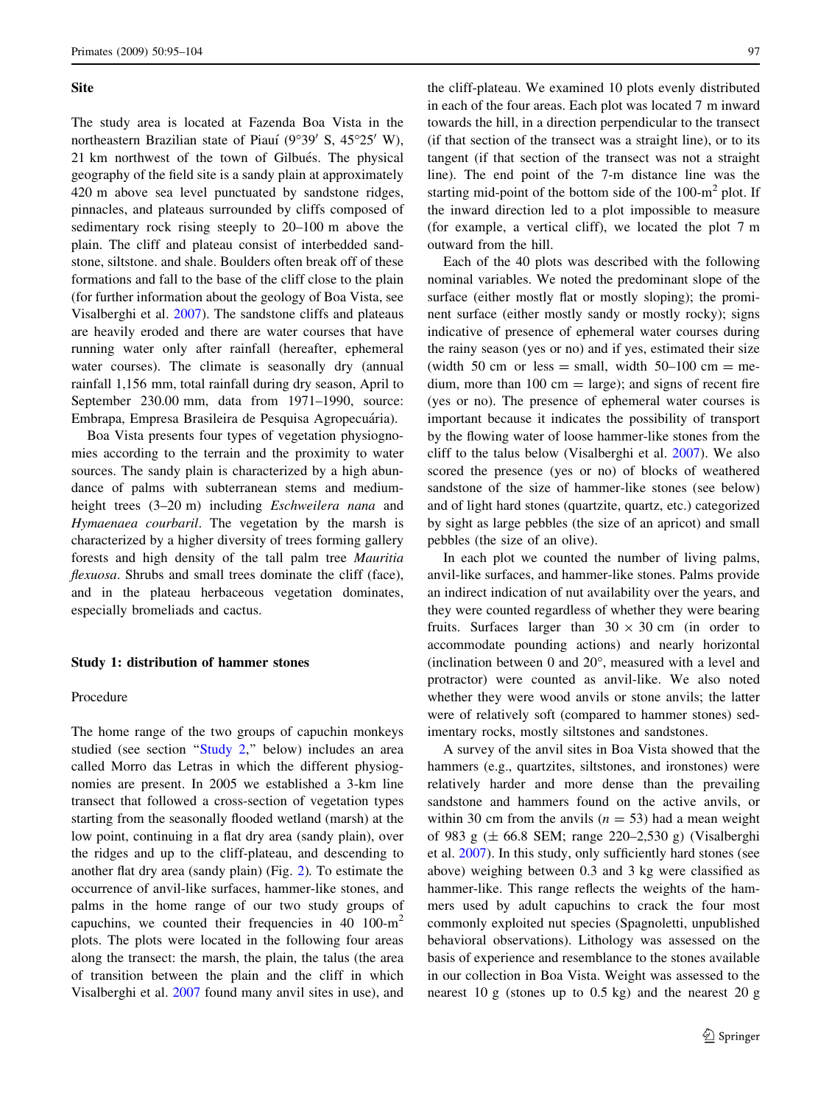#### <span id="page-2-0"></span>**Site**

The study area is located at Fazenda Boa Vista in the northeastern Brazilian state of Piauí (9°39′ S, 45°25′ W), 21 km northwest of the town of Gilbués. The physical geography of the field site is a sandy plain at approximately 420 m above sea level punctuated by sandstone ridges, pinnacles, and plateaus surrounded by cliffs composed of sedimentary rock rising steeply to 20–100 m above the plain. The cliff and plateau consist of interbedded sandstone, siltstone. and shale. Boulders often break off of these formations and fall to the base of the cliff close to the plain (for further information about the geology of Boa Vista, see Visalberghi et al. [2007](#page-9-0)). The sandstone cliffs and plateaus are heavily eroded and there are water courses that have running water only after rainfall (hereafter, ephemeral water courses). The climate is seasonally dry (annual rainfall 1,156 mm, total rainfall during dry season, April to September 230.00 mm, data from 1971–1990, source: Embrapa, Empresa Brasileira de Pesquisa Agropecuária).

Boa Vista presents four types of vegetation physiognomies according to the terrain and the proximity to water sources. The sandy plain is characterized by a high abundance of palms with subterranean stems and mediumheight trees (3–20 m) including Eschweilera nana and Hymaenaea courbaril. The vegetation by the marsh is characterized by a higher diversity of trees forming gallery forests and high density of the tall palm tree Mauritia flexuosa. Shrubs and small trees dominate the cliff (face), and in the plateau herbaceous vegetation dominates, especially bromeliads and cactus.

# Study 1: distribution of hammer stones

#### Procedure

The home range of the two groups of capuchin monkeys studied (see section "Study 2," below) includes an area called Morro das Letras in which the different physiognomies are present. In 2005 we established a 3-km line transect that followed a cross-section of vegetation types starting from the seasonally flooded wetland (marsh) at the low point, continuing in a flat dry area (sandy plain), over the ridges and up to the cliff-plateau, and descending to another flat dry area (sandy plain) (Fig. [2](#page-3-0)). To estimate the occurrence of anvil-like surfaces, hammer-like stones, and palms in the home range of our two study groups of capuchins, we counted their frequencies in 40  $100 \text{ m}^2$ plots. The plots were located in the following four areas along the transect: the marsh, the plain, the talus (the area of transition between the plain and the cliff in which Visalberghi et al. [2007](#page-9-0) found many anvil sites in use), and

the cliff-plateau. We examined 10 plots evenly distributed in each of the four areas. Each plot was located 7 m inward towards the hill, in a direction perpendicular to the transect (if that section of the transect was a straight line), or to its tangent (if that section of the transect was not a straight line). The end point of the 7-m distance line was the starting mid-point of the bottom side of the  $100\text{-m}^2$  plot. If the inward direction led to a plot impossible to measure (for example, a vertical cliff), we located the plot 7 m outward from the hill.

Each of the 40 plots was described with the following nominal variables. We noted the predominant slope of the surface (either mostly flat or mostly sloping); the prominent surface (either mostly sandy or mostly rocky); signs indicative of presence of ephemeral water courses during the rainy season (yes or no) and if yes, estimated their size (width 50 cm or less = small, width  $50-100$  cm = medium, more than 100 cm  $=$  large); and signs of recent fire (yes or no). The presence of ephemeral water courses is important because it indicates the possibility of transport by the flowing water of loose hammer-like stones from the cliff to the talus below (Visalberghi et al. [2007](#page-9-0)). We also scored the presence (yes or no) of blocks of weathered sandstone of the size of hammer-like stones (see below) and of light hard stones (quartzite, quartz, etc.) categorized by sight as large pebbles (the size of an apricot) and small pebbles (the size of an olive).

In each plot we counted the number of living palms, anvil-like surfaces, and hammer-like stones. Palms provide an indirect indication of nut availability over the years, and they were counted regardless of whether they were bearing fruits. Surfaces larger than  $30 \times 30$  cm (in order to accommodate pounding actions) and nearly horizontal (inclination between  $0$  and  $20^{\circ}$ , measured with a level and protractor) were counted as anvil-like. We also noted whether they were wood anvils or stone anvils; the latter were of relatively soft (compared to hammer stones) sedimentary rocks, mostly siltstones and sandstones.

A survey of the anvil sites in Boa Vista showed that the hammers (e.g., quartzites, siltstones, and ironstones) were relatively harder and more dense than the prevailing sandstone and hammers found on the active anvils, or within 30 cm from the anvils ( $n = 53$ ) had a mean weight of 983 g (± 66.8 SEM; range 220–2,530 g) (Visalberghi et al. [2007](#page-9-0)). In this study, only sufficiently hard stones (see above) weighing between 0.3 and 3 kg were classified as hammer-like. This range reflects the weights of the hammers used by adult capuchins to crack the four most commonly exploited nut species (Spagnoletti, unpublished behavioral observations). Lithology was assessed on the basis of experience and resemblance to the stones available in our collection in Boa Vista. Weight was assessed to the nearest 10 g (stones up to 0.5 kg) and the nearest 20 g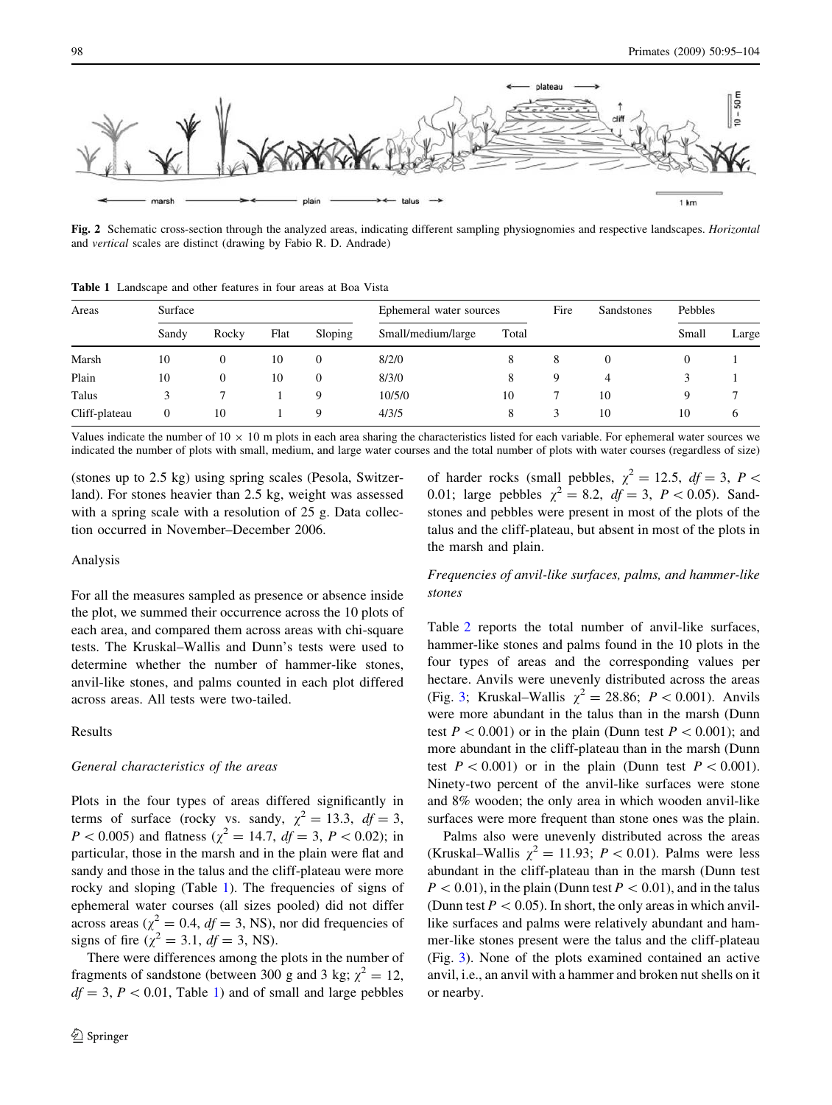<span id="page-3-0"></span>

Fig. 2 Schematic cross-section through the analyzed areas, indicating different sampling physiognomies and respective landscapes. Horizontal and vertical scales are distinct (drawing by Fabio R. D. Andrade)

| Areas         | Surface      |                |      |          | Ephemeral water sources |       | Fire | Sandstones | Pebbles  |       |
|---------------|--------------|----------------|------|----------|-------------------------|-------|------|------------|----------|-------|
|               | Sandy        | Rocky          | Flat | Sloping  | Small/medium/large      | Total |      |            | Small    | Large |
| Marsh         | 10           | $\overline{0}$ | 10   | 0        | 8/2/0                   | 8     | 8    | 0          | $\theta$ |       |
| Plain         | 10           | $\Omega$       | 10   | $\Omega$ | 8/3/0                   | 8     | Q    |            |          |       |
| Talus         |              |                |      |          | 10/5/0                  | 10    |      | 10         | Q        |       |
| Cliff-plateau | $\mathbf{0}$ | 10             |      |          | 4/3/5                   | 8     | 3    | 10         | 10       | h     |

Table 1 Landscape and other features in four areas at Boa Vista

Values indicate the number of  $10 \times 10$  m plots in each area sharing the characteristics listed for each variable. For ephemeral water sources we indicated the number of plots with small, medium, and large water courses and the total number of plots with water courses (regardless of size)

(stones up to 2.5 kg) using spring scales (Pesola, Switzerland). For stones heavier than 2.5 kg, weight was assessed with a spring scale with a resolution of 25 g. Data collection occurred in November–December 2006.

## Analysis

For all the measures sampled as presence or absence inside the plot, we summed their occurrence across the 10 plots of each area, and compared them across areas with chi-square tests. The Kruskal–Wallis and Dunn's tests were used to determine whether the number of hammer-like stones, anvil-like stones, and palms counted in each plot differed across areas. All tests were two-tailed.

## Results

## General characteristics of the areas

Plots in the four types of areas differed significantly in terms of surface (rocky vs. sandy,  $\chi^2 = 13.3$ ,  $df = 3$ ,  $P < 0.005$ ) and flatness ( $\chi^2 = 14.7$ ,  $df = 3$ ,  $P < 0.02$ ); in particular, those in the marsh and in the plain were flat and sandy and those in the talus and the cliff-plateau were more rocky and sloping (Table 1). The frequencies of signs of ephemeral water courses (all sizes pooled) did not differ across areas ( $\chi^2 = 0.4$ ,  $df = 3$ , NS), nor did frequencies of signs of fire ( $\chi^2 = 3.1$ ,  $df = 3$ , NS).

There were differences among the plots in the number of fragments of sandstone (between 300 g and 3 kg;  $\chi^2 = 12$ ,  $df = 3, P < 0.01$ , Table 1) and of small and large pebbles

of harder rocks (small pebbles,  $\chi^2 = 12.5$ ,  $df = 3$ ,  $P \lt \chi$ 0.01; large pebbles  $\chi^2 = 8.2$ ,  $df = 3$ ,  $P < 0.05$ ). Sandstones and pebbles were present in most of the plots of the talus and the cliff-plateau, but absent in most of the plots in the marsh and plain.

Frequencies of anvil-like surfaces, palms, and hammer-like stones

Table [2](#page-4-0) reports the total number of anvil-like surfaces, hammer-like stones and palms found in the 10 plots in the four types of areas and the corresponding values per hectare. Anvils were unevenly distributed across the areas (Fig. [3;](#page-4-0) Kruskal–Wallis  $\chi^2 = 28.86$ ;  $P < 0.001$ ). Anvils were more abundant in the talus than in the marsh (Dunn test  $P < 0.001$ ) or in the plain (Dunn test  $P < 0.001$ ); and more abundant in the cliff-plateau than in the marsh (Dunn test  $P < 0.001$  or in the plain (Dunn test  $P < 0.001$ ). Ninety-two percent of the anvil-like surfaces were stone and 8% wooden; the only area in which wooden anvil-like surfaces were more frequent than stone ones was the plain.

Palms also were unevenly distributed across the areas (Kruskal–Wallis  $\chi^2 = 11.93$ ;  $P < 0.01$ ). Palms were less abundant in the cliff-plateau than in the marsh (Dunn test  $P<0.01$ ), in the plain (Dunn test  $P<0.01$ ), and in the talus (Dunn test  $P < 0.05$ ). In short, the only areas in which anvillike surfaces and palms were relatively abundant and hammer-like stones present were the talus and the cliff-plateau (Fig. [3\)](#page-4-0). None of the plots examined contained an active anvil, i.e., an anvil with a hammer and broken nut shells on it or nearby.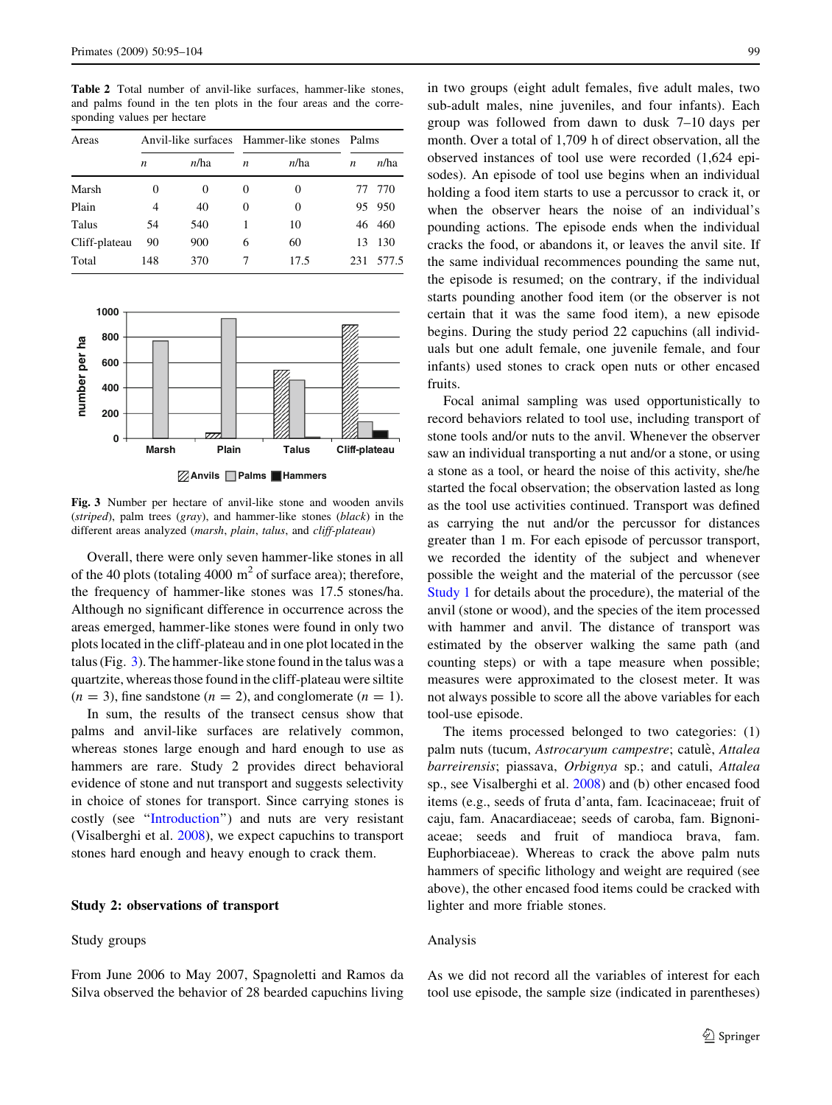<span id="page-4-0"></span>Table 2 Total number of anvil-like surfaces, hammer-like stones, and palms found in the ten plots in the four areas and the corresponding values per hectare

| Areas         | Anvil-like surfaces Hammer-like stones |          |          |          | Palms |              |
|---------------|----------------------------------------|----------|----------|----------|-------|--------------|
|               | n                                      | n/ha     | n        | n/ha     | n     | <i>n</i> /ha |
| Marsh         | 0                                      | $\theta$ | $\theta$ | $_{0}$   |       | 77 770       |
| Plain         | 4                                      | 40       | 0        | $\Omega$ |       | 95 950       |
| Talus         | 54                                     | 540      |          | 10       |       | 46 460       |
| Cliff-plateau | 90                                     | 900      | 6        | 60       | 13    | 130          |
| Total         | 148                                    | 370      |          | 17.5     | 231   | 577.5        |



**Anvils Palms Hammers**

Fig. 3 Number per hectare of anvil-like stone and wooden anvils (striped), palm trees (gray), and hammer-like stones (black) in the different areas analyzed (marsh, plain, talus, and cliff-plateau)

Overall, there were only seven hammer-like stones in all of the 40 plots (totaling 4000  $m<sup>2</sup>$  of surface area); therefore, the frequency of hammer-like stones was 17.5 stones/ha. Although no significant difference in occurrence across the areas emerged, hammer-like stones were found in only two plots located in the cliff-plateau and in one plot located in the talus (Fig. 3). The hammer-like stone found in the talus was a quartzite, whereas those found in the cliff-plateau were siltite  $(n = 3)$ , fine sandstone  $(n = 2)$ , and conglomerate  $(n = 1)$ .

In sum, the results of the transect census show that palms and anvil-like surfaces are relatively common, whereas stones large enough and hard enough to use as hammers are rare. Study 2 provides direct behavioral evidence of stone and nut transport and suggests selectivity in choice of stones for transport. Since carrying stones is costly (see ''[Introduction](#page-0-0)'') and nuts are very resistant (Visalberghi et al. [2008](#page-9-0)), we expect capuchins to transport stones hard enough and heavy enough to crack them.

## Study 2: observations of transport

#### Study groups

From June 2006 to May 2007, Spagnoletti and Ramos da Silva observed the behavior of 28 bearded capuchins living in two groups (eight adult females, five adult males, two sub-adult males, nine juveniles, and four infants). Each group was followed from dawn to dusk 7–10 days per month. Over a total of 1,709 h of direct observation, all the observed instances of tool use were recorded (1,624 episodes). An episode of tool use begins when an individual holding a food item starts to use a percussor to crack it, or when the observer hears the noise of an individual's pounding actions. The episode ends when the individual cracks the food, or abandons it, or leaves the anvil site. If the same individual recommences pounding the same nut, the episode is resumed; on the contrary, if the individual starts pounding another food item (or the observer is not certain that it was the same food item), a new episode begins. During the study period 22 capuchins (all individuals but one adult female, one juvenile female, and four infants) used stones to crack open nuts or other encased fruits.

Focal animal sampling was used opportunistically to record behaviors related to tool use, including transport of stone tools and/or nuts to the anvil. Whenever the observer saw an individual transporting a nut and/or a stone, or using a stone as a tool, or heard the noise of this activity, she/he started the focal observation; the observation lasted as long as the tool use activities continued. Transport was defined as carrying the nut and/or the percussor for distances greater than 1 m. For each episode of percussor transport, we recorded the identity of the subject and whenever possible the weight and the material of the percussor (see [Study 1](#page-2-0) for details about the procedure), the material of the anvil (stone or wood), and the species of the item processed with hammer and anvil. The distance of transport was estimated by the observer walking the same path (and counting steps) or with a tape measure when possible; measures were approximated to the closest meter. It was not always possible to score all the above variables for each tool-use episode.

The items processed belonged to two categories: (1) palm nuts (tucum, Astrocaryum campestre; catulè, Attalea barreirensis; piassava, Orbignya sp.; and catuli, Attalea sp., see Visalberghi et al. [2008](#page-9-0)) and (b) other encased food items (e.g., seeds of fruta d'anta, fam. Icacinaceae; fruit of caju, fam. Anacardiaceae; seeds of caroba, fam. Bignoniaceae; seeds and fruit of mandioca brava, fam. Euphorbiaceae). Whereas to crack the above palm nuts hammers of specific lithology and weight are required (see above), the other encased food items could be cracked with lighter and more friable stones.

#### Analysis

As we did not record all the variables of interest for each tool use episode, the sample size (indicated in parentheses)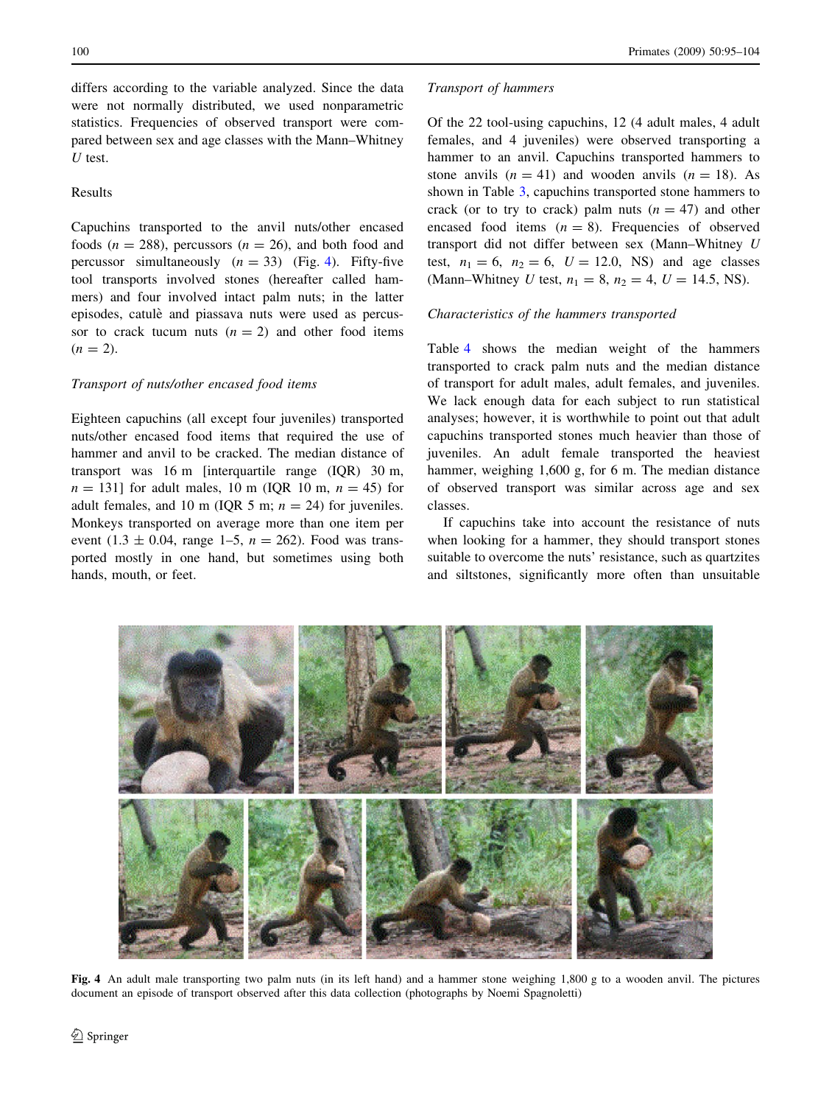<span id="page-5-0"></span>differs according to the variable analyzed. Since the data were not normally distributed, we used nonparametric statistics. Frequencies of observed transport were compared between sex and age classes with the Mann–Whitney U test.

# Results

Capuchins transported to the anvil nuts/other encased foods ( $n = 288$ ), percussors ( $n = 26$ ), and both food and percussor simultaneously  $(n = 33)$  (Fig. 4). Fifty-five tool transports involved stones (hereafter called hammers) and four involved intact palm nuts; in the latter episodes, catule` and piassava nuts were used as percussor to crack tucum nuts  $(n = 2)$  and other food items  $(n = 2)$ .

# Transport of nuts/other encased food items

Eighteen capuchins (all except four juveniles) transported nuts/other encased food items that required the use of hammer and anvil to be cracked. The median distance of transport was 16 m [interquartile range (IQR) 30 m,  $n = 131$  for adult males, 10 m (IQR 10 m,  $n = 45$ ) for adult females, and 10 m (IQR 5 m;  $n = 24$ ) for juveniles. Monkeys transported on average more than one item per event (1.3  $\pm$  0.04, range 1–5,  $n = 262$ ). Food was transported mostly in one hand, but sometimes using both hands, mouth, or feet.

#### Transport of hammers

Of the 22 tool-using capuchins, 12 (4 adult males, 4 adult females, and 4 juveniles) were observed transporting a hammer to an anvil. Capuchins transported hammers to stone anvils  $(n = 41)$  and wooden anvils  $(n = 18)$ . As shown in Table [3,](#page-6-0) capuchins transported stone hammers to crack (or to try to crack) palm nuts  $(n = 47)$  and other encased food items  $(n = 8)$ . Frequencies of observed transport did not differ between sex (Mann–Whitney U test,  $n_1 = 6$ ,  $n_2 = 6$ ,  $U = 12.0$ , NS) and age classes (Mann–Whitney U test,  $n_1 = 8$ ,  $n_2 = 4$ ,  $U = 14.5$ , NS).

#### Characteristics of the hammers transported

Table [4](#page-6-0) shows the median weight of the hammers transported to crack palm nuts and the median distance of transport for adult males, adult females, and juveniles. We lack enough data for each subject to run statistical analyses; however, it is worthwhile to point out that adult capuchins transported stones much heavier than those of juveniles. An adult female transported the heaviest hammer, weighing 1,600 g, for 6 m. The median distance of observed transport was similar across age and sex classes.

If capuchins take into account the resistance of nuts when looking for a hammer, they should transport stones suitable to overcome the nuts' resistance, such as quartzites and siltstones, significantly more often than unsuitable



Fig. 4 An adult male transporting two palm nuts (in its left hand) and a hammer stone weighing 1,800 g to a wooden anvil. The pictures document an episode of transport observed after this data collection (photographs by Noemi Spagnoletti)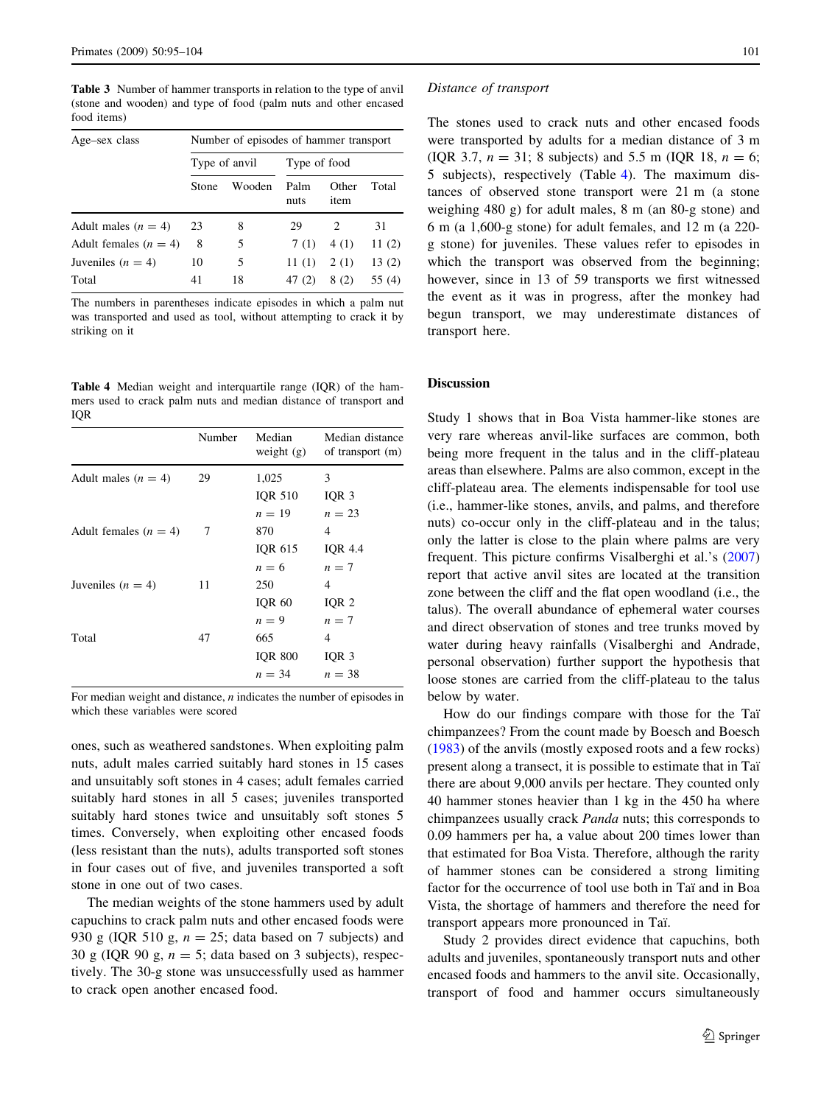<span id="page-6-0"></span>Table 3 Number of hammer transports in relation to the type of anvil (stone and wooden) and type of food (palm nuts and other encased food items)

| Age-sex class           | Number of episodes of hammer transport |               |              |               |        |  |  |
|-------------------------|----------------------------------------|---------------|--------------|---------------|--------|--|--|
|                         |                                        | Type of anvil | Type of food |               |        |  |  |
|                         | Stone                                  | Wooden        | Palm<br>nuts | Other<br>item | Total  |  |  |
| Adult males $(n = 4)$   | 23                                     | 8             | 29           | $\mathcal{L}$ | 31     |  |  |
| Adult females $(n = 4)$ | 8                                      | 5             | 7(1)         | 4(1)          | 11(2)  |  |  |
| Juveniles ( $n = 4$ )   | 10                                     | 5             | 11(1)        | 2(1)          | 13(2)  |  |  |
| Total                   | 41                                     | 18            | 47 (2)       | 8 (2)         | 55 (4) |  |  |

The numbers in parentheses indicate episodes in which a palm nut was transported and used as tool, without attempting to crack it by striking on it

Table 4 Median weight and interquartile range (IQR) of the hammers used to crack palm nuts and median distance of transport and IQR

|                         | Number | Median<br>weight $(g)$ | Median distance<br>of transport (m) |
|-------------------------|--------|------------------------|-------------------------------------|
| Adult males $(n = 4)$   | 29     | 1,025                  | 3                                   |
|                         |        | <b>IQR 510</b>         | IQR $3$                             |
|                         |        | $n=19$                 | $n = 23$                            |
| Adult females $(n = 4)$ | 7      | 870                    | 4                                   |
|                         |        | IOR 615                | <b>IQR 4.4</b>                      |
|                         |        | $n=6$                  | $n=7$                               |
| Juveniles $(n = 4)$     | 11     | 250                    | 4                                   |
|                         |        | <b>IQR 60</b>          | IQR $2$                             |
|                         |        | $n = 9$                | $n=7$                               |
| Total                   | 47     | 665                    | 4                                   |
|                         |        | <b>IQR 800</b>         | IQR $3$                             |
|                         |        | $n = 34$               | $n = 38$                            |
|                         |        |                        |                                     |

For median weight and distance, *n* indicates the number of episodes in which these variables were scored

ones, such as weathered sandstones. When exploiting palm nuts, adult males carried suitably hard stones in 15 cases and unsuitably soft stones in 4 cases; adult females carried suitably hard stones in all 5 cases; juveniles transported suitably hard stones twice and unsuitably soft stones 5 times. Conversely, when exploiting other encased foods (less resistant than the nuts), adults transported soft stones in four cases out of five, and juveniles transported a soft stone in one out of two cases.

The median weights of the stone hammers used by adult capuchins to crack palm nuts and other encased foods were 930 g (IQR 510 g,  $n = 25$ ; data based on 7 subjects) and 30 g (IQR 90 g,  $n = 5$ ; data based on 3 subjects), respectively. The 30-g stone was unsuccessfully used as hammer to crack open another encased food.

#### Distance of transport

The stones used to crack nuts and other encased foods were transported by adults for a median distance of 3 m (IQR 3.7,  $n = 31$ ; 8 subjects) and 5.5 m (IQR 18,  $n = 6$ ; 5 subjects), respectively (Table 4). The maximum distances of observed stone transport were 21 m (a stone weighing 480 g) for adult males, 8 m (an 80-g stone) and 6 m (a 1,600-g stone) for adult females, and 12 m (a 220 g stone) for juveniles. These values refer to episodes in which the transport was observed from the beginning; however, since in 13 of 59 transports we first witnessed the event as it was in progress, after the monkey had begun transport, we may underestimate distances of transport here.

## Discussion

Study 1 shows that in Boa Vista hammer-like stones are very rare whereas anvil-like surfaces are common, both being more frequent in the talus and in the cliff-plateau areas than elsewhere. Palms are also common, except in the cliff-plateau area. The elements indispensable for tool use (i.e., hammer-like stones, anvils, and palms, and therefore nuts) co-occur only in the cliff-plateau and in the talus; only the latter is close to the plain where palms are very frequent. This picture confirms Visalberghi et al.'s ([2007\)](#page-9-0) report that active anvil sites are located at the transition zone between the cliff and the flat open woodland (i.e., the talus). The overall abundance of ephemeral water courses and direct observation of stones and tree trunks moved by water during heavy rainfalls (Visalberghi and Andrade, personal observation) further support the hypothesis that loose stones are carried from the cliff-plateau to the talus below by water.

How do our findings compare with those for the Taï chimpanzees? From the count made by Boesch and Boesch [\(1983](#page-8-0)) of the anvils (mostly exposed roots and a few rocks) present along a transect, it is possible to estimate that in Taï there are about 9,000 anvils per hectare. They counted only 40 hammer stones heavier than 1 kg in the 450 ha where chimpanzees usually crack Panda nuts; this corresponds to 0.09 hammers per ha, a value about 200 times lower than that estimated for Boa Vista. Therefore, although the rarity of hammer stones can be considered a strong limiting factor for the occurrence of tool use both in Tai and in Boa Vista, the shortage of hammers and therefore the need for transport appears more pronounced in Taï.

Study 2 provides direct evidence that capuchins, both adults and juveniles, spontaneously transport nuts and other encased foods and hammers to the anvil site. Occasionally, transport of food and hammer occurs simultaneously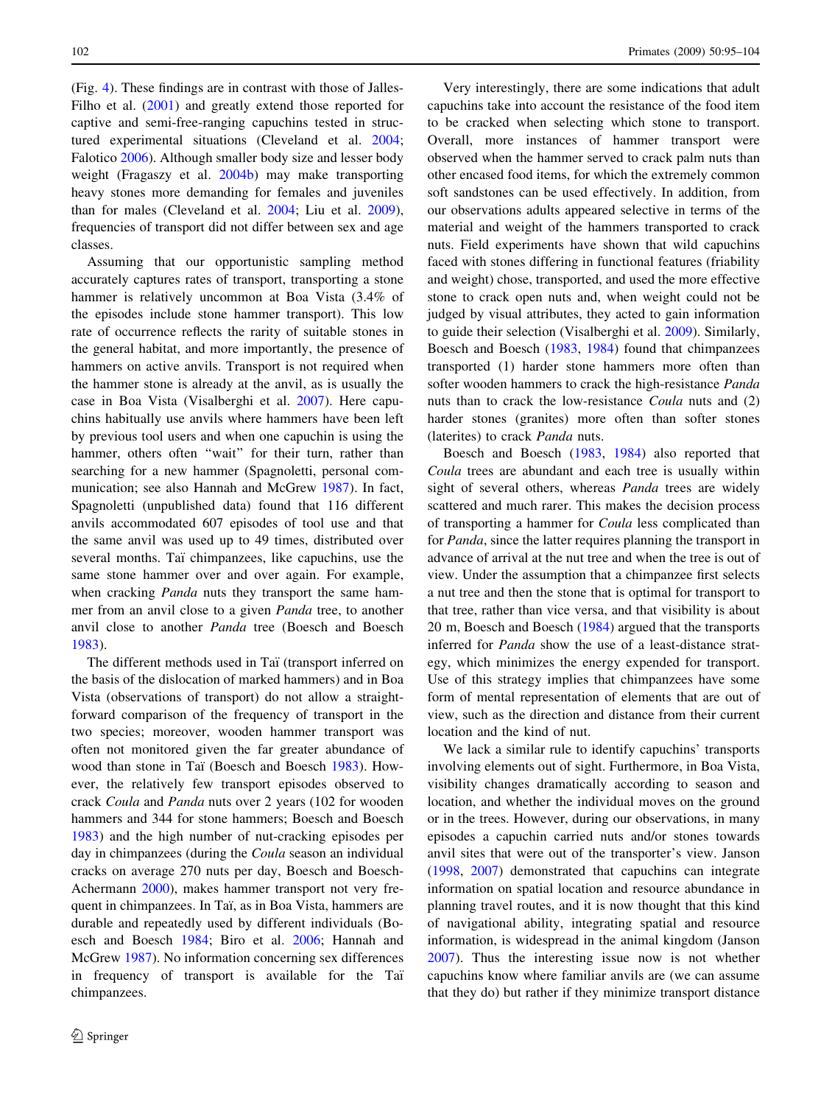(Fig. [4](#page-5-0)). These findings are in contrast with those of Jalles-Filho et al. [\(2001](#page-9-0)) and greatly extend those reported for captive and semi-free-ranging capuchins tested in structured experimental situations (Cleveland et al. [2004](#page-9-0); Falotico [2006](#page-9-0)). Although smaller body size and lesser body weight (Fragaszy et al. [2004b\)](#page-9-0) may make transporting heavy stones more demanding for females and juveniles than for males (Cleveland et al. [2004](#page-9-0); Liu et al. [2009](#page-9-0)), frequencies of transport did not differ between sex and age classes.

Assuming that our opportunistic sampling method accurately captures rates of transport, transporting a stone hammer is relatively uncommon at Boa Vista (3.4% of the episodes include stone hammer transport). This low rate of occurrence reflects the rarity of suitable stones in the general habitat, and more importantly, the presence of hammers on active anvils. Transport is not required when the hammer stone is already at the anvil, as is usually the case in Boa Vista (Visalberghi et al. [2007](#page-9-0)). Here capuchins habitually use anvils where hammers have been left by previous tool users and when one capuchin is using the hammer, others often "wait" for their turn, rather than searching for a new hammer (Spagnoletti, personal communication; see also Hannah and McGrew [1987](#page-9-0)). In fact, Spagnoletti (unpublished data) found that 116 different anvils accommodated 607 episodes of tool use and that the same anvil was used up to 49 times, distributed over several months. Taï chimpanzees, like capuchins, use the same stone hammer over and over again. For example, when cracking *Panda* nuts they transport the same hammer from an anvil close to a given Panda tree, to another anvil close to another Panda tree (Boesch and Boesch [1983\)](#page-8-0).

The different methods used in Taï (transport inferred on the basis of the dislocation of marked hammers) and in Boa Vista (observations of transport) do not allow a straightforward comparison of the frequency of transport in the two species; moreover, wooden hammer transport was often not monitored given the far greater abundance of wood than stone in Taï (Boesch and Boesch [1983](#page-8-0)). However, the relatively few transport episodes observed to crack Coula and Panda nuts over 2 years (102 for wooden hammers and 344 for stone hammers; Boesch and Boesch [1983\)](#page-8-0) and the high number of nut-cracking episodes per day in chimpanzees (during the *Coula* season an individual cracks on average 270 nuts per day, Boesch and Boesch-Achermann [2000](#page-8-0)), makes hammer transport not very frequent in chimpanzees. In Taï, as in Boa Vista, hammers are durable and repeatedly used by different individuals (Boesch and Boesch [1984](#page-8-0); Biro et al. [2006;](#page-8-0) Hannah and McGrew [1987\)](#page-9-0). No information concerning sex differences in frequency of transport is available for the Taï chimpanzees.

Very interestingly, there are some indications that adult capuchins take into account the resistance of the food item to be cracked when selecting which stone to transport. Overall, more instances of hammer transport were observed when the hammer served to crack palm nuts than other encased food items, for which the extremely common soft sandstones can be used effectively. In addition, from our observations adults appeared selective in terms of the material and weight of the hammers transported to crack nuts. Field experiments have shown that wild capuchins faced with stones differing in functional features (friability and weight) chose, transported, and used the more effective stone to crack open nuts and, when weight could not be judged by visual attributes, they acted to gain information to guide their selection (Visalberghi et al. [2009\)](#page-9-0). Similarly, Boesch and Boesch ([1983,](#page-8-0) [1984\)](#page-8-0) found that chimpanzees transported (1) harder stone hammers more often than softer wooden hammers to crack the high-resistance Panda nuts than to crack the low-resistance *Coula* nuts and (2) harder stones (granites) more often than softer stones (laterites) to crack Panda nuts.

Boesch and Boesch [\(1983](#page-8-0), [1984](#page-8-0)) also reported that Coula trees are abundant and each tree is usually within sight of several others, whereas Panda trees are widely scattered and much rarer. This makes the decision process of transporting a hammer for Coula less complicated than for Panda, since the latter requires planning the transport in advance of arrival at the nut tree and when the tree is out of view. Under the assumption that a chimpanzee first selects a nut tree and then the stone that is optimal for transport to that tree, rather than vice versa, and that visibility is about 20 m, Boesch and Boesch ([1984\)](#page-8-0) argued that the transports inferred for Panda show the use of a least-distance strategy, which minimizes the energy expended for transport. Use of this strategy implies that chimpanzees have some form of mental representation of elements that are out of view, such as the direction and distance from their current location and the kind of nut.

We lack a similar rule to identify capuchins' transports involving elements out of sight. Furthermore, in Boa Vista, visibility changes dramatically according to season and location, and whether the individual moves on the ground or in the trees. However, during our observations, in many episodes a capuchin carried nuts and/or stones towards anvil sites that were out of the transporter's view. Janson [\(1998](#page-9-0), [2007](#page-9-0)) demonstrated that capuchins can integrate information on spatial location and resource abundance in planning travel routes, and it is now thought that this kind of navigational ability, integrating spatial and resource information, is widespread in the animal kingdom (Janson [2007](#page-9-0)). Thus the interesting issue now is not whether capuchins know where familiar anvils are (we can assume that they do) but rather if they minimize transport distance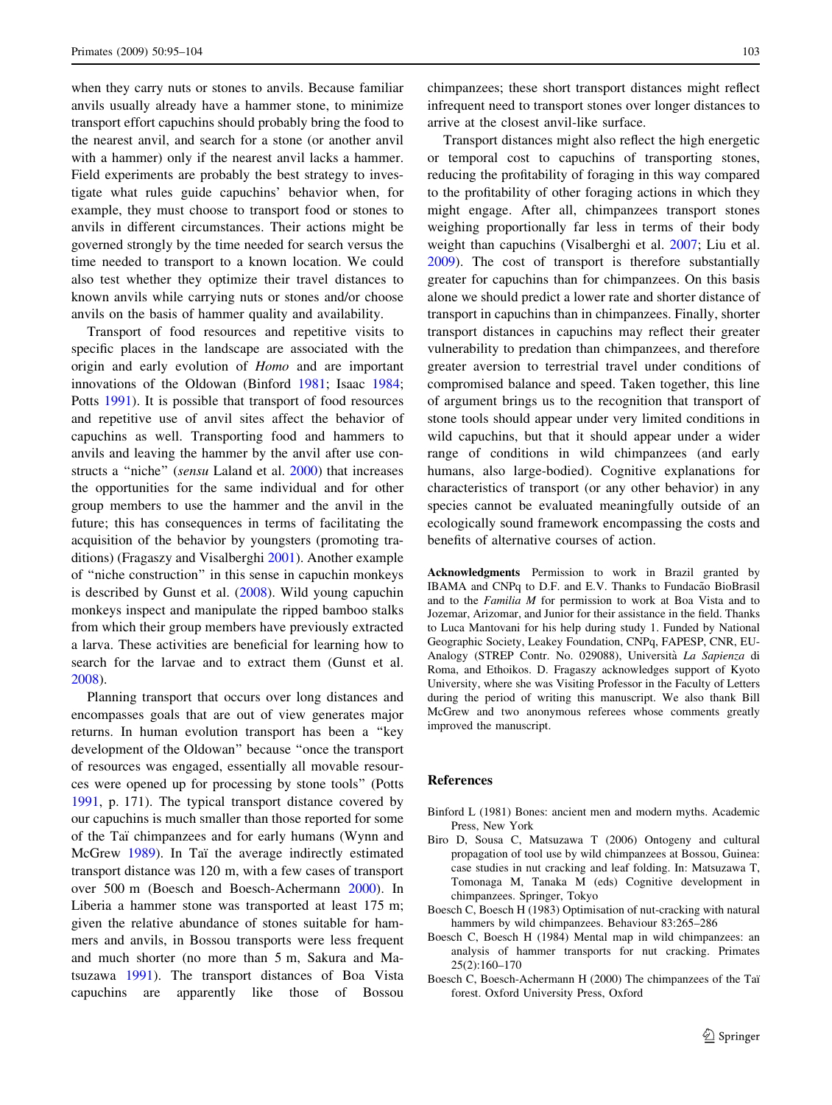<span id="page-8-0"></span>when they carry nuts or stones to anvils. Because familiar anvils usually already have a hammer stone, to minimize transport effort capuchins should probably bring the food to the nearest anvil, and search for a stone (or another anvil with a hammer) only if the nearest anvil lacks a hammer. Field experiments are probably the best strategy to investigate what rules guide capuchins' behavior when, for example, they must choose to transport food or stones to anvils in different circumstances. Their actions might be governed strongly by the time needed for search versus the time needed to transport to a known location. We could also test whether they optimize their travel distances to known anvils while carrying nuts or stones and/or choose anvils on the basis of hammer quality and availability.

Transport of food resources and repetitive visits to specific places in the landscape are associated with the origin and early evolution of Homo and are important innovations of the Oldowan (Binford 1981; Isaac [1984](#page-9-0); Potts [1991\)](#page-9-0). It is possible that transport of food resources and repetitive use of anvil sites affect the behavior of capuchins as well. Transporting food and hammers to anvils and leaving the hammer by the anvil after use con-structs a "niche" (sensu Laland et al. [2000\)](#page-9-0) that increases the opportunities for the same individual and for other group members to use the hammer and the anvil in the future; this has consequences in terms of facilitating the acquisition of the behavior by youngsters (promoting traditions) (Fragaszy and Visalberghi [2001\)](#page-9-0). Another example of ''niche construction'' in this sense in capuchin monkeys is described by Gunst et al. [\(2008](#page-9-0)). Wild young capuchin monkeys inspect and manipulate the ripped bamboo stalks from which their group members have previously extracted a larva. These activities are beneficial for learning how to search for the larvae and to extract them (Gunst et al. [2008\)](#page-9-0).

Planning transport that occurs over long distances and encompasses goals that are out of view generates major returns. In human evolution transport has been a ''key development of the Oldowan'' because ''once the transport of resources was engaged, essentially all movable resources were opened up for processing by stone tools'' (Potts [1991,](#page-9-0) p. 171). The typical transport distance covered by our capuchins is much smaller than those reported for some of the Taï chimpanzees and for early humans (Wynn and McGrew [1989](#page-9-0)). In Taï the average indirectly estimated transport distance was 120 m, with a few cases of transport over 500 m (Boesch and Boesch-Achermann 2000). In Liberia a hammer stone was transported at least 175 m; given the relative abundance of stones suitable for hammers and anvils, in Bossou transports were less frequent and much shorter (no more than 5 m, Sakura and Matsuzawa [1991\)](#page-9-0). The transport distances of Boa Vista capuchins are apparently like those of Bossou chimpanzees; these short transport distances might reflect infrequent need to transport stones over longer distances to arrive at the closest anvil-like surface.

Transport distances might also reflect the high energetic or temporal cost to capuchins of transporting stones, reducing the profitability of foraging in this way compared to the profitability of other foraging actions in which they might engage. After all, chimpanzees transport stones weighing proportionally far less in terms of their body weight than capuchins (Visalberghi et al. [2007;](#page-9-0) Liu et al. [2009](#page-9-0)). The cost of transport is therefore substantially greater for capuchins than for chimpanzees. On this basis alone we should predict a lower rate and shorter distance of transport in capuchins than in chimpanzees. Finally, shorter transport distances in capuchins may reflect their greater vulnerability to predation than chimpanzees, and therefore greater aversion to terrestrial travel under conditions of compromised balance and speed. Taken together, this line of argument brings us to the recognition that transport of stone tools should appear under very limited conditions in wild capuchins, but that it should appear under a wider range of conditions in wild chimpanzees (and early humans, also large-bodied). Cognitive explanations for characteristics of transport (or any other behavior) in any species cannot be evaluated meaningfully outside of an ecologically sound framework encompassing the costs and benefits of alternative courses of action.

Acknowledgments Permission to work in Brazil granted by IBAMA and CNPq to D.F. and E.V. Thanks to Fundacão BioBrasil and to the Familia M for permission to work at Boa Vista and to Jozemar, Arizomar, and Junior for their assistance in the field. Thanks to Luca Mantovani for his help during study 1. Funded by National Geographic Society, Leakey Foundation, CNPq, FAPESP, CNR, EU-Analogy (STREP Contr. No. 029088), Università La Sapienza di Roma, and Ethoikos. D. Fragaszy acknowledges support of Kyoto University, where she was Visiting Professor in the Faculty of Letters during the period of writing this manuscript. We also thank Bill McGrew and two anonymous referees whose comments greatly improved the manuscript.

#### References

- Binford L (1981) Bones: ancient men and modern myths. Academic Press, New York
- Biro D, Sousa C, Matsuzawa T (2006) Ontogeny and cultural propagation of tool use by wild chimpanzees at Bossou, Guinea: case studies in nut cracking and leaf folding. In: Matsuzawa T, Tomonaga M, Tanaka M (eds) Cognitive development in chimpanzees. Springer, Tokyo
- Boesch C, Boesch H (1983) Optimisation of nut-cracking with natural hammers by wild chimpanzees. Behaviour 83:265–286
- Boesch C, Boesch H (1984) Mental map in wild chimpanzees: an analysis of hammer transports for nut cracking. Primates 25(2):160–170
- Boesch C, Boesch-Achermann H (2000) The chimpanzees of the Taı¨ forest. Oxford University Press, Oxford